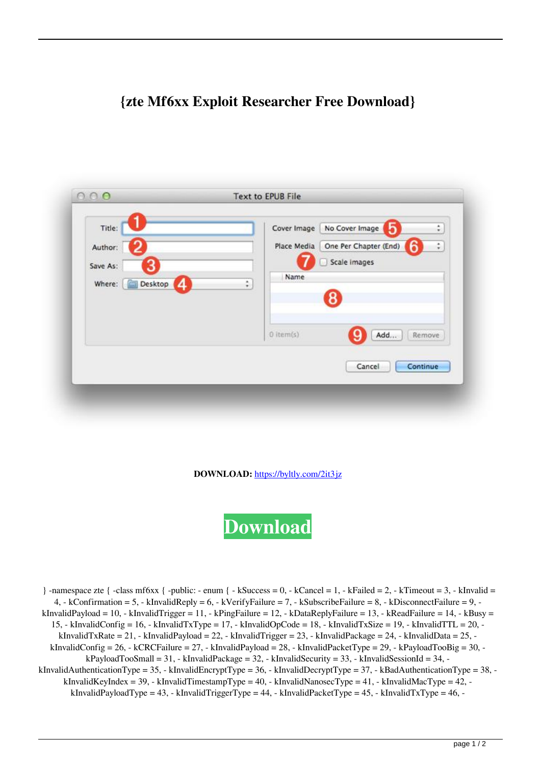## **{zte Mf6xx Exploit Researcher Free Download}**

| Title:                 | No Cover Image<br>Cover Image<br>¢.<br>מו |
|------------------------|-------------------------------------------|
| Author:                | One Per Chapter (End)<br>Place Media<br>÷ |
| Save As:               | Scale images                              |
| Where:<br>Desktop<br>4 | Name<br>÷                                 |
|                        | 8                                         |
|                        |                                           |
|                        | $0$ item(s)<br>Add<br>Remove              |
|                        |                                           |
|                        | Continue<br>Cancel                        |

**DOWNLOAD:** <https://byltly.com/2it3jz>

**[Download](https://byltly.com/2it3jz)**

} -namespace zte  $\{\text{-class m}$  -class mf6xx  $\{\text{-public: - enum } \}$  - kSuccess = 0, - kCancel = 1, - kFailed = 2, - kTimeout = 3, - kInvalid = 4, - kConfirmation = 5, - kInvalidReply = 6, - kVerifyFailure = 7, - kSubscribeFailure = 8, - kDisconnectFailure = 9, kInvalidPayload = 10, - kInvalidTrigger = 11, - kPingFailure = 12, - kDataReplyFailure = 13, - kReadFailure = 14, - kBusy = 15, - kInvalidConfig = 16, - kInvalidTxType = 17, - kInvalidOpCode = 18, - kInvalidTxSize = 19, - kInvalidTTL = 20, kInvalidTxRate = 21, - kInvalidPayload = 22, - kInvalidTrigger = 23, - kInvalidPackage = 24, - kInvalidData = 25, kInvalidConfig = 26, - kCRCFailure = 27, - kInvalidPayload = 28, - kInvalidPacketType = 29, - kPayloadTooBig = 30, kPayloadTooSmall = 31, - kInvalidPackage = 32, - kInvalidSecurity = 33, - kInvalidSessionId = 34, kInvalidAuthenticationType = 35, - kInvalidEncryptType = 36, - kInvalidDecryptType = 37, - kBadAuthenticationType = 38, kInvalidKeyIndex = 39, - kInvalidTimestampType = 40, - kInvalidNanosecType = 41, - kInvalidMacType = 42, kInvalidPayloadType = 43, - kInvalidTriggerType = 44, - kInvalidPacketType = 45, - kInvalidTxType = 46, -